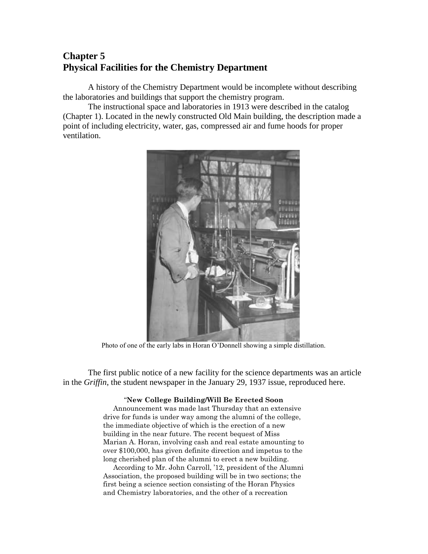## **Chapter 5 Physical Facilities for the Chemistry Department**

A history of the Chemistry Department would be incomplete without describing the laboratories and buildings that support the chemistry program.

The instructional space and laboratories in 1913 were described in the catalog (Chapter 1). Located in the newly constructed Old Main building, the description made a point of including electricity, water, gas, compressed air and fume hoods for proper ventilation.



Photo of one of the early labs in Horan O'Donnell showing a simple distillation.

The first public notice of a new facility for the science departments was an article in the *Griffin*, the student newspaper in the January 29, 1937 issue, reproduced here.

## "**New College Building/Will Be Erected Soon**

Announcement was made last Thursday that an extensive drive for funds is under way among the alumni of the college, the immediate objective of which is the erection of a new building in the near future. The recent bequest of Miss Marian A. Horan, involving cash and real estate amounting to over \$100,000, has given definite direction and impetus to the long cherished plan of the alumni to erect a new building.

According to Mr. John Carroll, '12, president of the Alumni Association, the proposed building will be in two sections; the first being a science section consisting of the Horan Physics and Chemistry laboratories, and the other of a recreation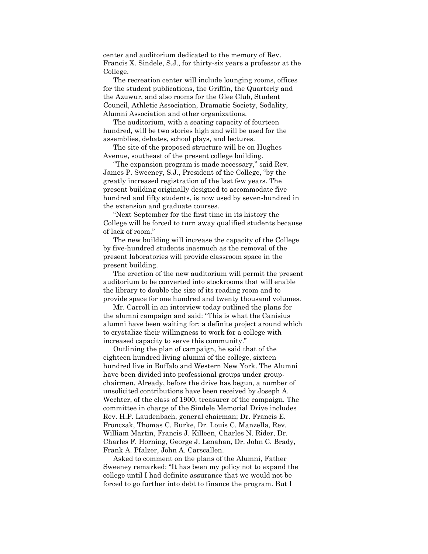center and auditorium dedicated to the memory of Rev. Francis X. Sindele, S.J., for thirty-six years a professor at the College.

The recreation center will include lounging rooms, offices for the student publications, the Griffin, the Quarterly and the Azuwur, and also rooms for the Glee Club, Student Council, Athletic Association, Dramatic Society, Sodality, Alumni Association and other organizations.

The auditorium, with a seating capacity of fourteen hundred, will be two stories high and will be used for the assemblies, debates, school plays, and lectures.

The site of the proposed structure will be on Hughes Avenue, southeast of the present college building.

"The expansion program is made necessary," said Rev. James P. Sweeney, S.J., President of the College, "by the greatly increased registration of the last few years. The present building originally designed to accommodate five hundred and fifty students, is now used by seven-hundred in the extension and graduate courses.

"Next September for the first time in its history the College will be forced to turn away qualified students because of lack of room."

The new building will increase the capacity of the College by five-hundred students inasmuch as the removal of the present laboratories will provide classroom space in the present building.

The erection of the new auditorium will permit the present auditorium to be converted into stockrooms that will enable the library to double the size of its reading room and to provide space for one hundred and twenty thousand volumes.

Mr. Carroll in an interview today outlined the plans for the alumni campaign and said: "This is what the Canisius alumni have been waiting for: a definite project around which to crystalize their willingness to work for a college with increased capacity to serve this community."

Outlining the plan of campaign, he said that of the eighteen hundred living alumni of the college, sixteen hundred live in Buffalo and Western New York. The Alumni have been divided into professional groups under groupchairmen. Already, before the drive has begun, a number of unsolicited contributions have been received by Joseph A. Wechter, of the class of 1900, treasurer of the campaign. The committee in charge of the Sindele Memorial Drive includes Rev. H.P. Laudenbach, general chairman; Dr. Francis E. Fronczak, Thomas C. Burke, Dr. Louis C. Manzella, Rev. William Martin, Francis J. Killeen, Charles N. Rider, Dr. Charles F. Horning, George J. Lenahan, Dr. John C. Brady, Frank A. Pfalzer, John A. Carscallen.

Asked to comment on the plans of the Alumni, Father Sweeney remarked: "It has been my policy not to expand the college until I had definite assurance that we would not be forced to go further into debt to finance the program. But I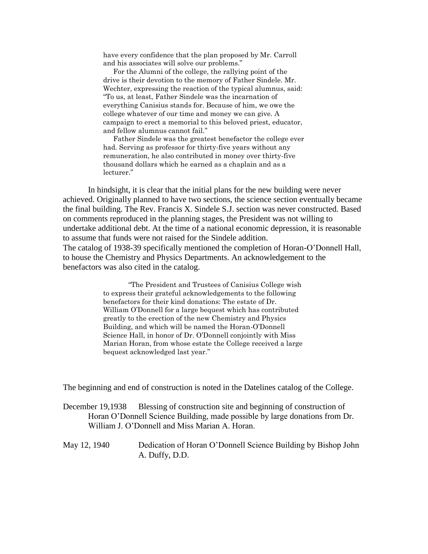have every confidence that the plan proposed by Mr. Carroll and his associates will solve our problems."

For the Alumni of the college, the rallying point of the drive is their devotion to the memory of Father Sindele. Mr. Wechter, expressing the reaction of the typical alumnus, said: "To us, at least, Father Sindele was the incarnation of everything Canisius stands for. Because of him, we owe the college whatever of our time and money we can give. A campaign to erect a memorial to this beloved priest, educator, and fellow alumnus cannot fail."

Father Sindele was the greatest benefactor the college ever had. Serving as professor for thirty-five years without any remuneration, he also contributed in money over thirty-five thousand dollars which he earned as a chaplain and as a lecturer."

In hindsight, it is clear that the initial plans for the new building were never achieved. Originally planned to have two sections, the science section eventually became the final building. The Rev. Francis X. Sindele S.J. section was never constructed. Based on comments reproduced in the planning stages, the President was not willing to undertake additional debt. At the time of a national economic depression, it is reasonable to assume that funds were not raised for the Sindele addition. The catalog of 1938-39 specifically mentioned the completion of Horan-O'Donnell Hall, to house the Chemistry and Physics Departments. An acknowledgement to the benefactors was also cited in the catalog.

> "The President and Trustees of Canisius College wish to express their grateful acknowledgements to the following benefactors for their kind donations: The estate of Dr. William O'Donnell for a large bequest which has contributed greatly to the erection of the new Chemistry and Physics Building, and which will be named the Horan-O'Donnell Science Hall, in honor of Dr. O'Donnell conjointly with Miss Marian Horan, from whose estate the College received a large bequest acknowledged last year."

The beginning and end of construction is noted in the Datelines catalog of the College.

December 19,1938 Blessing of construction site and beginning of construction of Horan O'Donnell Science Building, made possible by large donations from Dr. William J. O'Donnell and Miss Marian A. Horan.

May 12, 1940 Dedication of Horan O'Donnell Science Building by Bishop John A. Duffy, D.D.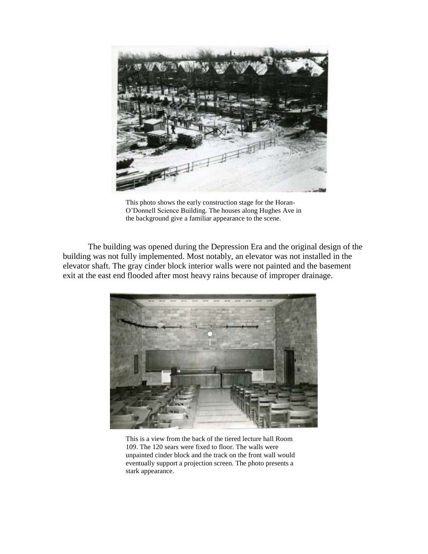

This photo shows the early construction stage for the Horan-O'Donnell Science Building. The houses along Hughes Ave in the background give a familiar appearance to the scene.

The building was opened during the Depression Era and the original design of the building was not fully implemented. Most notably, an elevator was not installed in the elevator shaft. The gray cinder block interior walls were not painted and the basement exit at the east end flooded after most heavy rains because of improper drainage.



This is a view from the back of the tiered lecture hall Room 109. The 120 sears were fixed to floor. The walls were unpainted cinder block and the track on the front wall would eventually support a projection screen. The photo presents a stark appearance.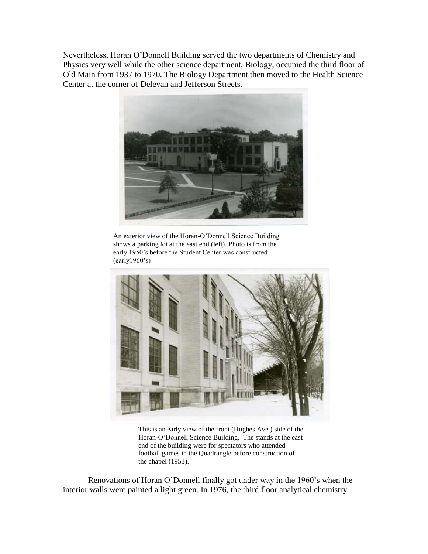Nevertheless, Horan O'Donnell Building served the two departments of Chemistry and Physics very well while the other science department, Biology, occupied the third floor of Old Main from 1937 to 1970. The Biology Department then moved to the Health Science Center at the corner of Delevan and Jefferson Streets.



An exterior view of the Horan-O'Donnell Science Building shows a parking lot at the east end (left). Photo is from the early 1950's before the Student Center was constructed (early1960's)



This is an early view of the front (Hughes Ave.) side of the Horan-O'Donnell Science Building. The stands at the east end of the building were for spectators who attended football games in the Quadrangle before construction of the chapel (1953).

Renovations of Horan O'Donnell finally got under way in the 1960's when the interior walls were painted a light green. In 1976, the third floor analytical chemistry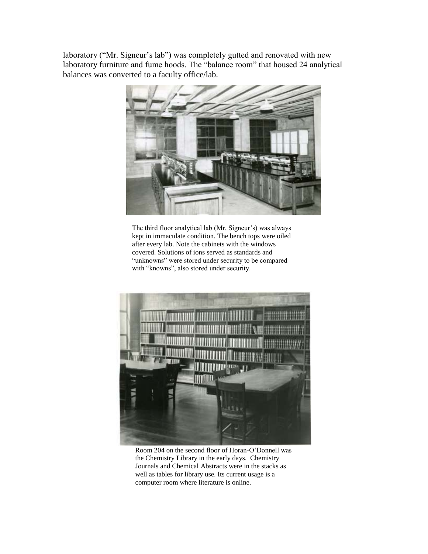laboratory ("Mr. Signeur's lab") was completely gutted and renovated with new laboratory furniture and fume hoods. The "balance room" that housed 24 analytical balances was converted to a faculty office/lab.



The third floor analytical lab (Mr. Signeur's) was always kept in immaculate condition. The bench tops were oiled after every lab. Note the cabinets with the windows covered. Solutions of ions served as standards and "unknowns" were stored under security to be compared with "knowns", also stored under security.



Room 204 on the second floor of Horan-O'Donnell was the Chemistry Library in the early days. Chemistry Journals and Chemical Abstracts were in the stacks as well as tables for library use. Its current usage is a computer room where literature is online.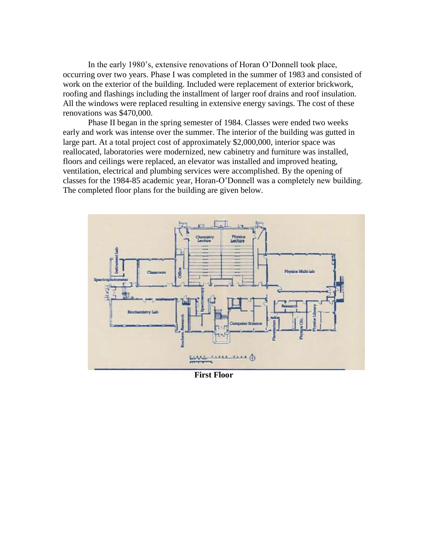In the early 1980's, extensive renovations of Horan O'Donnell took place, occurring over two years. Phase I was completed in the summer of 1983 and consisted of work on the exterior of the building. Included were replacement of exterior brickwork, roofing and flashings including the installment of larger roof drains and roof insulation. All the windows were replaced resulting in extensive energy savings. The cost of these renovations was \$470,000.

Phase II began in the spring semester of 1984. Classes were ended two weeks early and work was intense over the summer. The interior of the building was gutted in large part. At a total project cost of approximately \$2,000,000, interior space was reallocated, laboratories were modernized, new cabinetry and furniture was installed, floors and ceilings were replaced, an elevator was installed and improved heating, ventilation, electrical and plumbing services were accomplished. By the opening of classes for the 1984-85 academic year, Horan-O'Donnell was a completely new building. The completed floor plans for the building are given below.



**First Floor**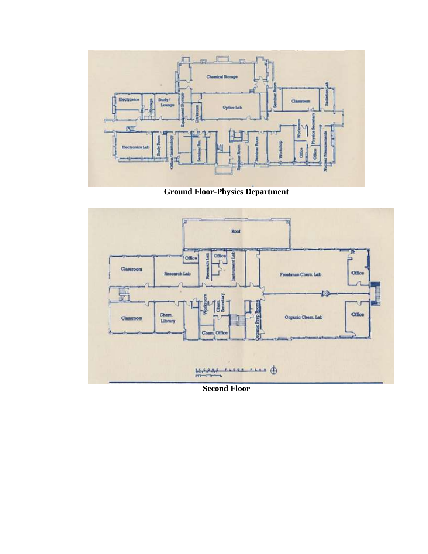

**Ground Floor-Physics Department**



**Second Floor**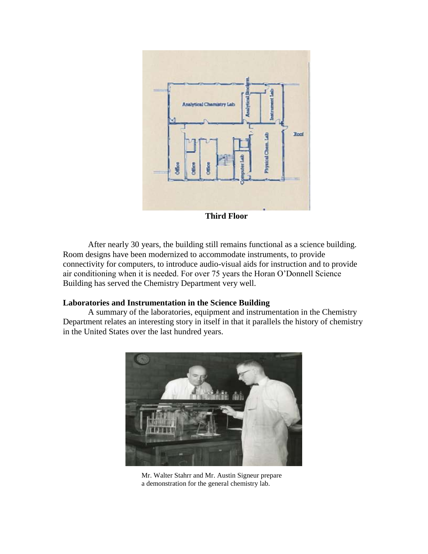

**Third Floor**

After nearly 30 years, the building still remains functional as a science building. Room designs have been modernized to accommodate instruments, to provide connectivity for computers, to introduce audio-visual aids for instruction and to provide air conditioning when it is needed. For over 75 years the Horan O'Donnell Science Building has served the Chemistry Department very well.

## **Laboratories and Instrumentation in the Science Building**

A summary of the laboratories, equipment and instrumentation in the Chemistry Department relates an interesting story in itself in that it parallels the history of chemistry in the United States over the last hundred years.



Mr. Walter Stahrr and Mr. Austin Signeur prepare a demonstration for the general chemistry lab.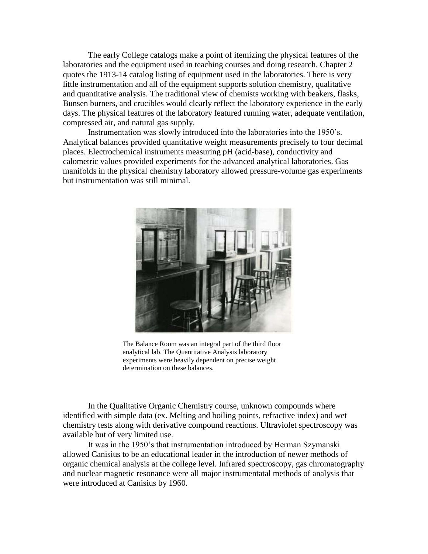The early College catalogs make a point of itemizing the physical features of the laboratories and the equipment used in teaching courses and doing research. Chapter 2 quotes the 1913-14 catalog listing of equipment used in the laboratories. There is very little instrumentation and all of the equipment supports solution chemistry, qualitative and quantitative analysis. The traditional view of chemists working with beakers, flasks, Bunsen burners, and crucibles would clearly reflect the laboratory experience in the early days. The physical features of the laboratory featured running water, adequate ventilation, compressed air, and natural gas supply.

Instrumentation was slowly introduced into the laboratories into the 1950's. Analytical balances provided quantitative weight measurements precisely to four decimal places. Electrochemical instruments measuring pH (acid-base), conductivity and calometric values provided experiments for the advanced analytical laboratories. Gas manifolds in the physical chemistry laboratory allowed pressure-volume gas experiments but instrumentation was still minimal.



The Balance Room was an integral part of the third floor analytical lab. The Quantitative Analysis laboratory experiments were heavily dependent on precise weight determination on these balances.

In the Qualitative Organic Chemistry course, unknown compounds where identified with simple data (ex. Melting and boiling points, refractive index) and wet chemistry tests along with derivative compound reactions. Ultraviolet spectroscopy was available but of very limited use.

It was in the 1950's that instrumentation introduced by Herman Szymanski allowed Canisius to be an educational leader in the introduction of newer methods of organic chemical analysis at the college level. Infrared spectroscopy, gas chromatography and nuclear magnetic resonance were all major instrumentatal methods of analysis that were introduced at Canisius by 1960.